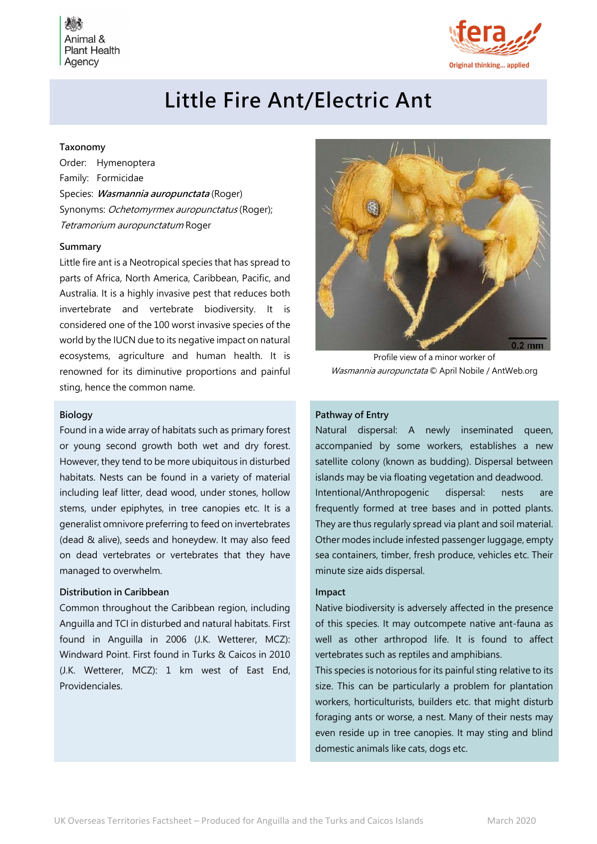Animal & **Plant Health** Agency



# Little Fire Ant/Electric Ant

## Taxonomy

Order: Hymenoptera Family: Formicidae Species: Wasmannia auropunctata (Roger) Synonyms: Ochetomyrmex auropunctatus (Roger); Tetramorium auropunctatum Roger

#### Summary

Little fire ant is a Neotropical species that has spread to parts of Africa, North America, Caribbean, Pacific, and Australia. It is a highly invasive pest that reduces both invertebrate and vertebrate biodiversity. It is considered one of the 100 worst invasive species of the world by the IUCN due to its negative impact on natural ecosystems, agriculture and human health. It is renowned for its diminutive proportions and painful sting, hence the common name.

## Biology

Found in a wide array of habitats such as primary forest or young second growth both wet and dry forest. However, they tend to be more ubiquitous in disturbed habitats. Nests can be found in a variety of material including leaf litter, dead wood, under stones, hollow stems, under epiphytes, in tree canopies etc. It is a generalist omnivore preferring to feed on invertebrates (dead & alive), seeds and honeydew. It may also feed on dead vertebrates or vertebrates that they have managed to overwhelm.

### Distribution in Caribbean

Common throughout the Caribbean region, including Anguilla and TCI in disturbed and natural habitats. First found in Anguilla in 2006 (J.K. Wetterer, MCZ): Windward Point. First found in Turks & Caicos in 2010 (J.K. Wetterer, MCZ): 1 km west of East End, Providenciales.



Profile view of a minor worker of Wasmannia auropunctata © April Nobile / AntWeb.org

# Pathway of Entry

Natural dispersal: A newly inseminated queen, accompanied by some workers, establishes a new satellite colony (known as budding). Dispersal between islands may be via floating vegetation and deadwood. Intentional/Anthropogenic dispersal: nests are frequently formed at tree bases and in potted plants. They are thus regularly spread via plant and soil material. Other modes include infested passenger luggage, empty sea containers, timber, fresh produce, vehicles etc. Their minute size aids dispersal.

### Impact

Native biodiversity is adversely affected in the presence of this species. It may outcompete native ant-fauna as well as other arthropod life. It is found to affect vertebrates such as reptiles and amphibians.

This species is notorious for its painful sting relative to its size. This can be particularly a problem for plantation workers, horticulturists, builders etc. that might disturb foraging ants or worse, a nest. Many of their nests may even reside up in tree canopies. It may sting and blind domestic animals like cats, dogs etc.